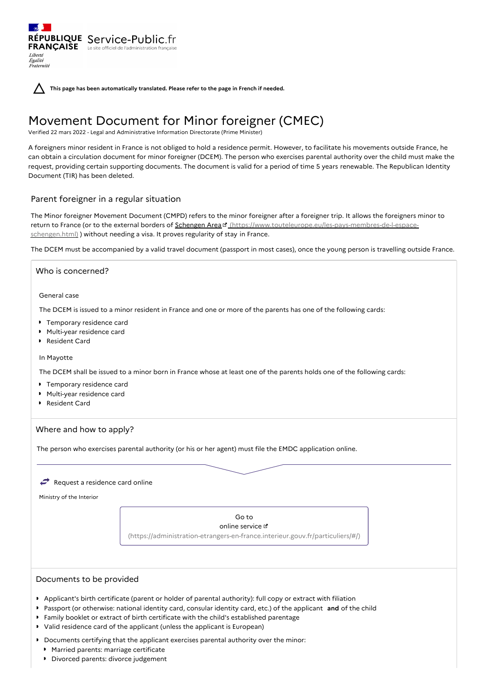**This page has been automatically translated. Please refer to the page in French if needed.**

# Movement Document for Minor foreigner (CMEC)

Verified 22 mars 2022 - Legal and Administrative Information Directorate (Prime Minister)

A foreigners minor resident in France is not obliged to hold a residence permit. However, to facilitate his movements outside France, he can obtain a circulation document for minor foreigner (DCEM). The person who exercises parental authority over the child must make the request, providing certain supporting documents. The document is valid for a period of time 5 years renewable. The Republican Identity Document (TIR) has been deleted.

# Parent foreigner in a regular situation

RÉPUBLIQUE Service-Public.fr **FRANÇAISE** Le site officiel de l'administration fran

Liberté Égalité<br>Fraternité

The Minor foreigner Movement Document (CMPD) refers to the minor foreigner after a foreigner trip. It allows the foreigners minor to return to France (or to the external borders of Schengen Area d' [\(https://www.touteleurope.eu/les-pays-membres-de-l-espace](https://www.touteleurope.eu/les-pays-membres-de-l-espace-schengen.html)schengen.html) ) without needing a visa. It proves regularity of stay in France.

The DCEM must be accompanied by a valid travel document (passport in most cases), once the young person is travelling outside France.

## Who is concerned?

General case

The DCEM is issued to a minor resident in France and one or more of the parents has one of the following cards:

- **Temporary residence card**
- Multi-year residence card
- Resident Card

## In Mayotte

The DCEM shall be issued to a minor born in France whose at least one of the parents holds one of the following cards:

- **Temporary residence card**
- Multi-year residence card
- Resident Card

# Where and how to apply?

The person who exercises parental authority (or his or her agent) must file the EMDC application online.

## Request a residence card online

Ministry of the Interior

Go to online service [\(https://administration-etrangers-en-france.interieur.gouv.fr/particuliers/#/\)](https://administration-etrangers-en-france.interieur.gouv.fr/particuliers/#/)

## Documents to be provided

- Applicant's birth certificate (parent or holder of parental authority): full copy or extract with filiation
- Passport (or otherwise: national identity card, consular identity card, etc.) of the applicant **and** of the child
- Family booklet or extract of birth certificate with the child's established parentage
- Valid residence card of the applicant (unless the applicant is European)
- Documents certifying that the applicant exercises parental authority over the minor:
- Married parents: marriage certificate
- Divorced parents: divorce judgement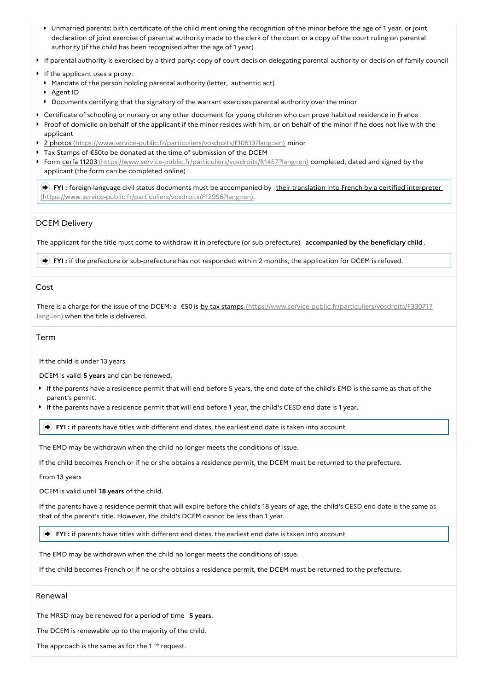- Unmarried parents: birth certificate of the child mentioning the recognition of the minor before the age of 1 year, or joint declaration of joint exercise of parental authority made to the clerk of the court or a copy of the court ruling on parental authority (if the child has been recognised after the age of 1 year)
- If parental authority is exercised by a third party: copy of court decision delegating parental authority or decision of family council
- If the applicant uses a proxy:
- Mandate of the person holding parental authority (letter, authentic act)
- Agent ID
- Documents certifying that the signatory of the warrant exercises parental authority over the minor
- Certificate of schooling or nursery or any other document for young children who can prove habitual residence in France
- Proof of domicile on behalf of the applicant if the minor resides with him, or on behalf of the minor if he does not live with the applicant
- 2 photos [\(https://www.service-public.fr/particuliers/vosdroits/F10619?lang=en\)](https://www.service-public.fr/particuliers/vosdroits/F10619?lang=en) minor
- Tax Stamps of €50to be donated at the time of submission of the DCEM
- **Form cerfa 11203** [\(https://www.service-public.fr/particuliers/vosdroits/R1457?lang=en\)](https://www.service-public.fr/particuliers/vosdroits/R1457?lang=en) completed, dated and signed by the applicant (the form can be completed online)

**FYI** : foreign-language civil status documents must be accompanied by their translation into French by a certified interpreter [\(https://www.service-public.fr/particuliers/vosdroits/F12956?lang=en\).](https://www.service-public.fr/particuliers/vosdroits/F12956?lang=en)

# DCEM Delivery

The applicant for the title must come to withdraw it in prefecture (or sub-prefecture) **accompanied by the beneficiary child**.

**FYI :** if the prefecture or sub-prefecture has not responded within 2 months, the application for DCEM is refused.

## Cost

There is a charge for the issue of the DCEM: a €50 is by tax stamps [\(https://www.service-public.fr/particuliers/vosdroits/F33071?](https://www.service-public.fr/particuliers/vosdroits/F33071?lang=en) lang=en) when the title is delivered.

## Term

If the child is under 13 years

DCEM is valid **5 years** and can be renewed.

- If the parents have a residence permit that will end before 5 years, the end date of the child's EMD is the same as that of the parent's permit.
- If the parents have a residence permit that will end before 1 year, the child's CESD end date is 1 year.

**FYI :** if parents have titles with different end dates, the earliest end date is taken into account

The EMD may be withdrawn when the child no longer meets the conditions of issue.

If the child becomes French or if he or she obtains a residence permit, the DCEM must be returned to the prefecture.

From 13 years

DCEM is valid until **18 years** of the child.

If the parents have a residence permit that will expire before the child's 18 years of age, the child's CESD end date is the same as that of the parent's title. However, the child's DCEM cannot be less than 1 year.

**FYI :** if parents have titles with different end dates, the earliest end date is taken into account

The EMD may be withdrawn when the child no longer meets the conditions of issue.

If the child becomes French or if he or she obtains a residence permit, the DCEM must be returned to the prefecture.

## Renewal

The MRSD may be renewed for a period of time **5 years**.

The DCEM is renewable up to the majority of the child.

The approach is the same as for the 1 <sup>re</sup> request.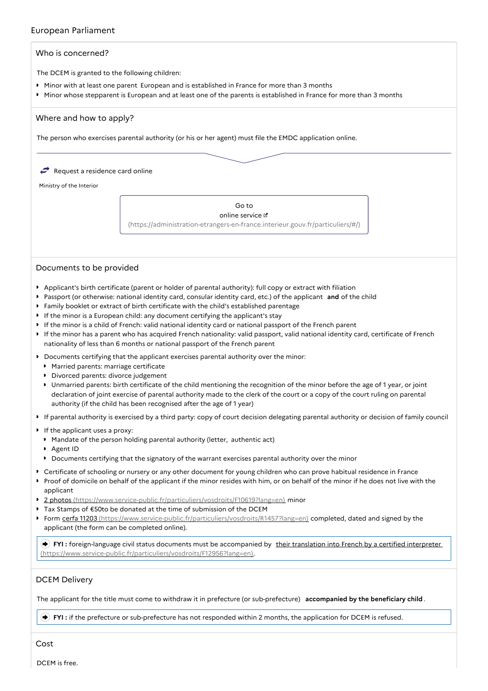# European Parliament



# Documents to be provided

- Applicant's birth certificate (parent or holder of parental authority): full copy or extract with filiation
- Passport (or otherwise: national identity card, consular identity card, etc.) of the applicant **and** of the child
- Family booklet or extract of birth certificate with the child's established parentage
- If the minor is a European child: any document certifying the applicant's stay
- If the minor is a child of French: valid national identity card or national passport of the French parent
- If the minor has a parent who has acquired French nationality: valid passport, valid national identity card, certificate of French nationality of less than 6 months or national passport of the French parent
- **D** Documents certifying that the applicant exercises parental authority over the minor:
	- **Married parents: marriage certificate**
	- Divorced parents: divorce judgement
	- Unmarried parents: birth certificate of the child mentioning the recognition of the minor before the age of 1 year, or joint declaration of joint exercise of parental authority made to the clerk of the court or a copy of the court ruling on parental authority (if the child has been recognised after the age of 1 year)
- If parental authority is exercised by a third party: copy of court decision delegating parental authority or decision of family council
- If the applicant uses a proxy:
- Mandate of the person holding parental authority (letter, authentic act)
- Agent ID
- Documents certifying that the signatory of the warrant exercises parental authority over the minor
- Certificate of schooling or nursery or any other document for young children who can prove habitual residence in France
- Proof of domicile on behalf of the applicant if the minor resides with him, or on behalf of the minor if he does not live with the applicant
- 2 photos [\(https://www.service-public.fr/particuliers/vosdroits/F10619?lang=en\)](https://www.service-public.fr/particuliers/vosdroits/F10619?lang=en) minor
- Tax Stamps of €50to be donated at the time of submission of the DCEM
- ▶ Form cerfa 11203 [\(https://www.service-public.fr/particuliers/vosdroits/R1457?lang=en\)](https://www.service-public.fr/particuliers/vosdroits/R1457?lang=en) completed, dated and signed by the applicant (the form can be completed online).

**FYI**: foreign-language civil status documents must be accompanied by their translation into French by a certified interpreter [\(https://www.service-public.fr/particuliers/vosdroits/F12956?lang=en\).](https://www.service-public.fr/particuliers/vosdroits/F12956?lang=en)

# DCEM Delivery

The applicant for the title must come to withdraw it in prefecture (or sub-prefecture) **accompanied by the beneficiary child**.

**FYI :** if the prefecture or sub-prefecture has not responded within 2 months, the application for DCEM is refused.

Cost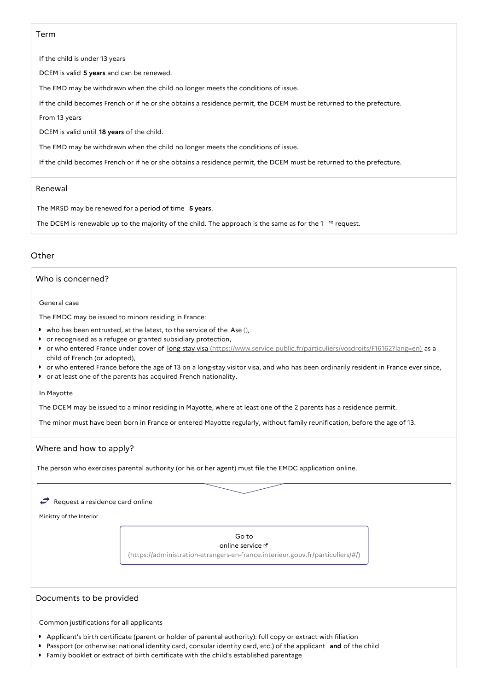## Term

If the child is under 13 years

DCEM is valid **5 years** and can be renewed.

The EMD may be withdrawn when the child no longer meets the conditions of issue.

If the child becomes French or if he or she obtains a residence permit, the DCEM must be returned to the prefecture.

From 13 years

DCEM is valid until **18 years** of the child.

The EMD may be withdrawn when the child no longer meets the conditions of issue.

If the child becomes French or if he or she obtains a residence permit, the DCEM must be returned to the prefecture.

#### Renewal

The MRSD may be renewed for a period of time **5 years**.

The DCEM is renewable up to the majority of the child. The approach is the same as for the 1  $re$  request.

# **Other**

# Who is concerned?

General case

The EMDC may be issued to minors residing in France:

- $\bullet$  who has been entrusted, at the latest, to the service of the Ase (),
- or recognised as a refugee or granted subsidiary protection,
- or who entered France under cover of long-stay visa [\(https://www.service-public.fr/particuliers/vosdroits/F16162?lang=en\)](https://www.service-public.fr/particuliers/vosdroits/F16162?lang=en) as a child of French (or adopted),
- or who entered France before the age of 13 on a long-stay visitor visa, and who has been ordinarily resident in France ever since,
- or at least one of the parents has acquired French nationality.

#### In Mayotte

The DCEM may be issued to a minor residing in Mayotte, where at least one of the 2 parents has a residence permit.

The minor must have been born in France or entered Mayotte regularly, without family reunification, before the age of 13.

## Where and how to apply?

The person who exercises parental authority (or his or her agent) must file the EMDC application online.

#### $\rightarrow$  Request a residence card online

Ministry of the Interior

Go to online service  $\mathfrak a$ [\(https://administration-etrangers-en-france.interieur.gouv.fr/particuliers/#/\)](https://administration-etrangers-en-france.interieur.gouv.fr/particuliers/#/)

#### Documents to be provided

Common justifications for all applicants

- Applicant's birth certificate (parent or holder of parental authority): full copy or extract with filiation
- Passport (or otherwise: national identity card, consular identity card, etc.) of the applicant **and** of the child
- Family booklet or extract of birth certificate with the child's established parentage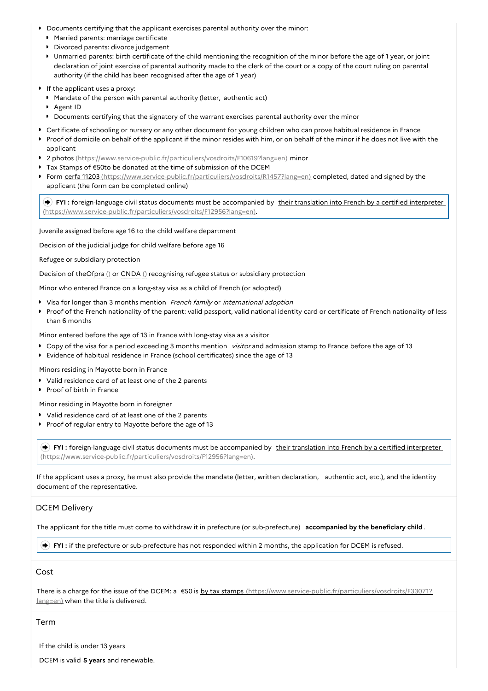- Documents certifying that the applicant exercises parental authority over the minor:
	- **Married parents: marriage certificate**
	- **Divorced parents: divorce judgement**
	- Unmarried parents: birth certificate of the child mentioning the recognition of the minor before the age of 1 year, or joint declaration of joint exercise of parental authority made to the clerk of the court or a copy of the court ruling on parental authority (if the child has been recognised after the age of 1 year)
- If the applicant uses a proxy:
	- Mandate of the person with parental authority (letter, authentic act)
	- Agent ID
	- Documents certifying that the signatory of the warrant exercises parental authority over the minor
- Certificate of schooling or nursery or any other document for young children who can prove habitual residence in France
- Proof of domicile on behalf of the applicant if the minor resides with him, or on behalf of the minor if he does not live with the applicant
- 2 photos [\(https://www.service-public.fr/particuliers/vosdroits/F10619?lang=en\)](https://www.service-public.fr/particuliers/vosdroits/F10619?lang=en) minor
- Tax Stamps of €50to be donated at the time of submission of the DCEM
- ▶ Form cerfa 11203 [\(https://www.service-public.fr/particuliers/vosdroits/R1457?lang=en\)](https://www.service-public.fr/particuliers/vosdroits/R1457?lang=en) completed, dated and signed by the applicant (the form can be completed online)

**FYI** : foreign-language civil status documents must be accompanied by their translation into French by a certified interpreter [\(https://www.service-public.fr/particuliers/vosdroits/F12956?lang=en\).](https://www.service-public.fr/particuliers/vosdroits/F12956?lang=en)

Juvenile assigned before age 16 to the child welfare department

Decision of the judicial judge for child welfare before age 16

Refugee or subsidiary protection

Decision of theOfpra () or CNDA () recognising refugee status or subsidiary protection

Minor who entered France on a long-stay visa as a child of French (or adopted)

- Visa for longer than 3 months mention French family or international adoption
- Proof of the French nationality of the parent: valid passport, valid national identity card or certificate of French nationality of less than 6 months

Minor entered before the age of 13 in France with long-stay visa as a visitor

- Copy of the visa for a period exceeding 3 months mention visitor and admission stamp to France before the age of 13
- **Evidence of habitual residence in France (school certificates) since the age of 13**

Minors residing in Mayotte born in France

- Valid residence card of at least one of the 2 parents
- P Proof of birth in France

Minor residing in Mayotte born in foreigner

- Valid residence card of at least one of the 2 parents
- Proof of regular entry to Mayotte before the age of 13

**FYI** : foreign-language civil status documents must be accompanied by their translation into French by a certified interpreter [\(https://www.service-public.fr/particuliers/vosdroits/F12956?lang=en\).](https://www.service-public.fr/particuliers/vosdroits/F12956?lang=en)

If the applicant uses a proxy, he must also provide the mandate (letter, written declaration, authentic act, etc.), and the identity document of the representative.

# DCEM Delivery

The applicant for the title must come to withdraw it in prefecture (or sub-prefecture) **accompanied by the beneficiary child**.

**FYI :** if the prefecture or sub-prefecture has not responded within 2 months, the application for DCEM is refused.

# Cost

There is a charge for the issue of the DCEM: a €50 is by tax stamps [\(https://www.service-public.fr/particuliers/vosdroits/F33071?](https://www.service-public.fr/particuliers/vosdroits/F33071?lang=en) lang=en) when the title is delivered.

## Term

If the child is under 13 years

DCEM is valid **5 years** and renewable.